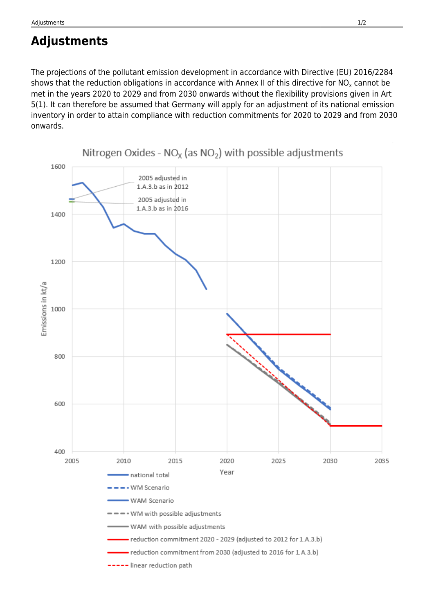## **Adjustments**

The projections of the pollutant emission development in accordance with Directive (EU) 2016/2284 shows that the reduction obligations in accordance with Annex II of this directive for NO<sub>x</sub> cannot be met in the years 2020 to 2029 and from 2030 onwards without the flexibility provisions given in Art 5(1). It can therefore be assumed that Germany will apply for an adjustment of its national emission inventory in order to attain compliance with reduction commitments for 2020 to 2029 and from 2030 onwards.